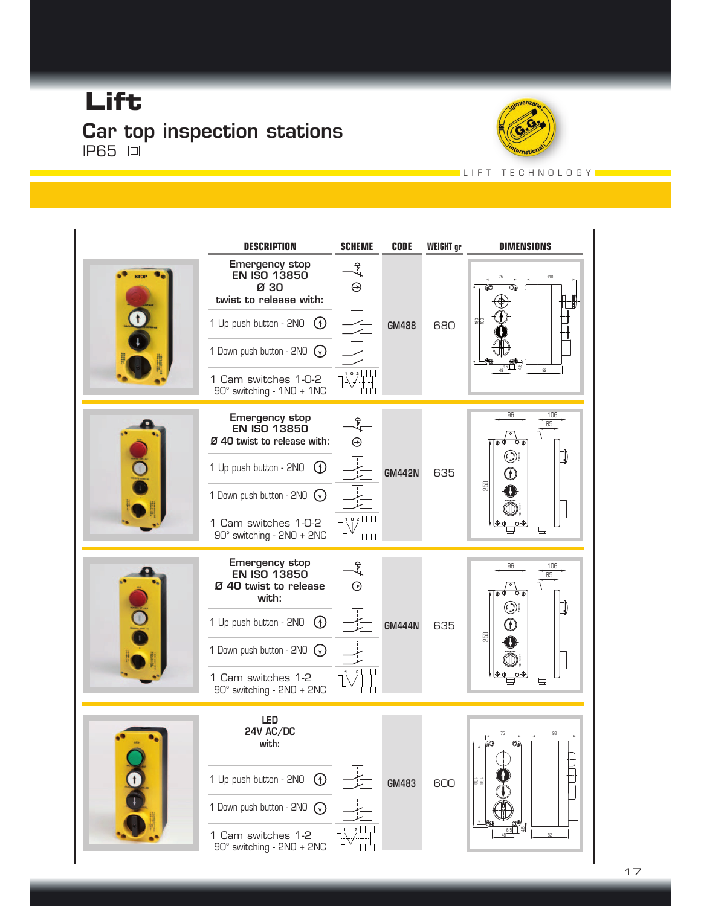## **Lift** Car top inspection stations **IP65** 回



LIFT TECHNOLOGYL

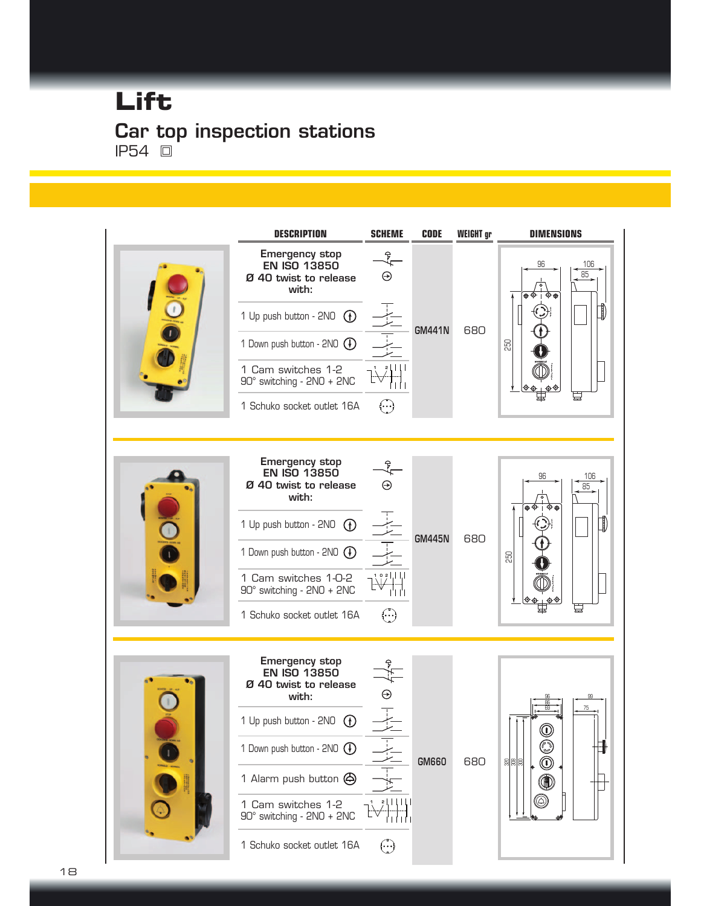## Car top inspection stations **IP54** 回 **Lift**

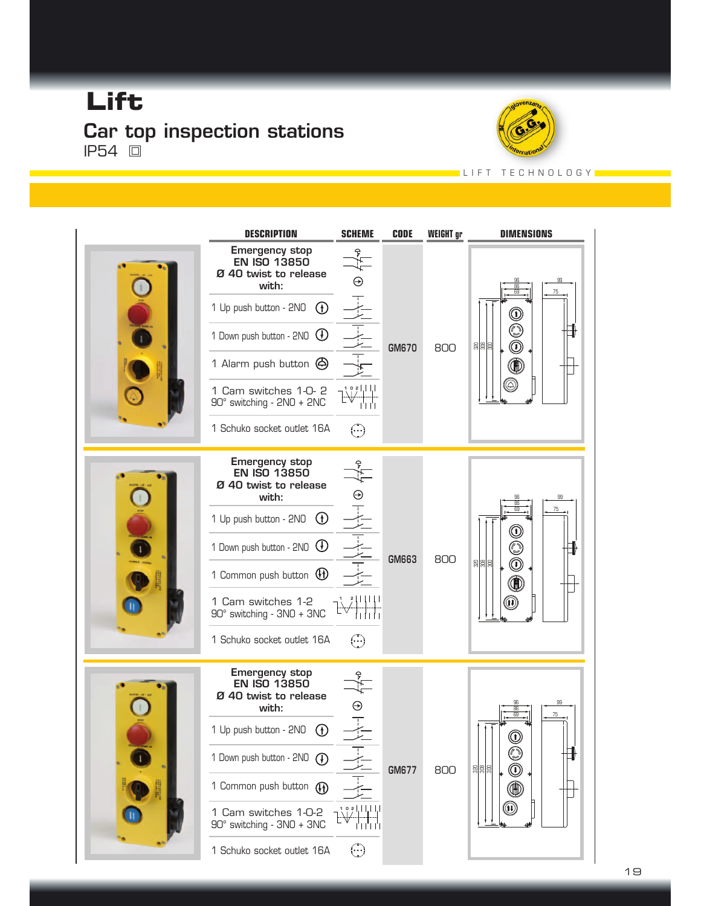#### **Lift** Car top inspection stations **IP54** 回



L I F T T E C H N O L O G Y L



19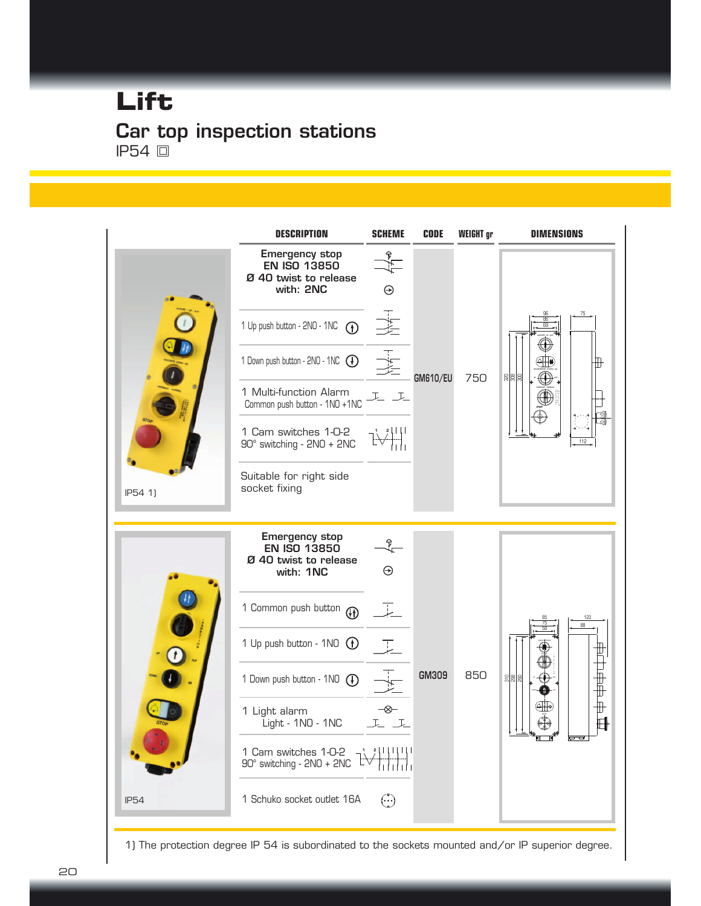## Car top inspection stations **IP54** 回 **Lift**



1) The protection degree IP 54 is subordinated to the sockets mounted and/or IP superior degree.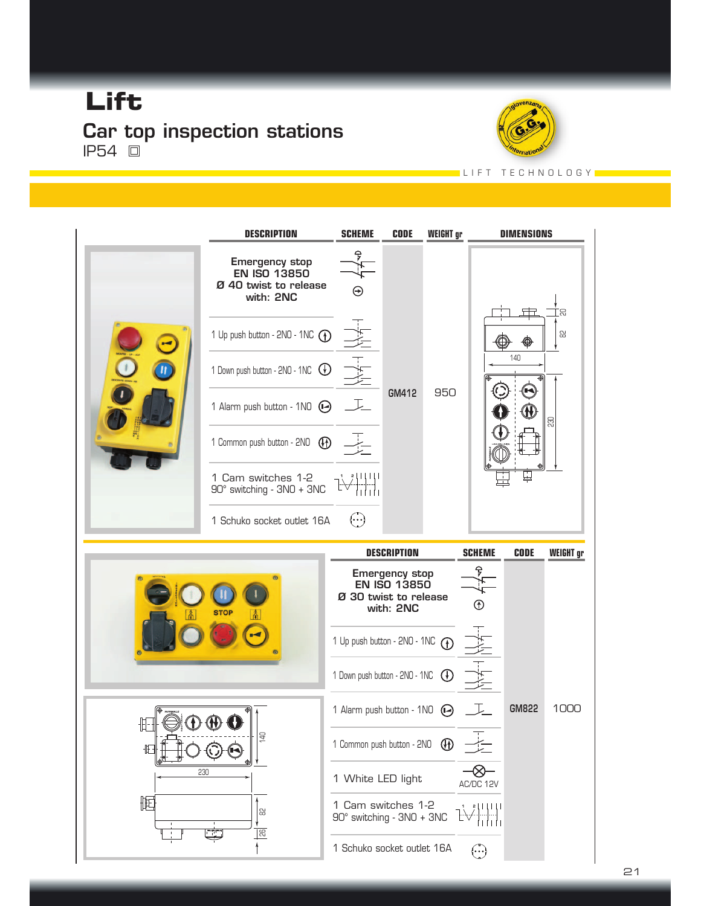#### **Lift** Car top inspection stations IP54



L I F T T E C H N O L O G Y L

|              | <b>DESCRIPTION</b>                                                                 | <b>SCHEME</b>                                                                      | <b>CODE</b>        | <b>WEIGHT</b> gr |               | <b>DIMENSIONS</b> |                  |  |
|--------------|------------------------------------------------------------------------------------|------------------------------------------------------------------------------------|--------------------|------------------|---------------|-------------------|------------------|--|
|              | <b>Emergency stop</b><br><b>EN ISO 13850</b><br>Ø 40 twist to release<br>with: 2NC | $\Theta$                                                                           |                    |                  |               |                   |                  |  |
|              | 1 Up push button - 2NO - 1NC $\odot$                                               |                                                                                    |                    |                  |               | ±                 | 品<br>읾           |  |
|              | 1 Down push button - $2NO - 1NC$ $\bigoplus$                                       | $\frac{1}{\sqrt{2}}\frac{1}{\sqrt{2}}$                                             |                    |                  | 140           |                   |                  |  |
|              | 1 Alarm push button - 1NO $\Theta$ $\Gamma$                                        |                                                                                    | GM412<br>950       |                  |               | $\Xi$             |                  |  |
|              | 1 Common push button - 2NO (D)                                                     |                                                                                    |                    |                  |               |                   |                  |  |
|              | 1 Cam switches $1-2$<br>90° switching - 3NO + 3NC                                  |                                                                                    |                    |                  |               |                   |                  |  |
|              | 1 Schuko socket outlet $16A$ $\cdots$                                              |                                                                                    |                    |                  |               |                   |                  |  |
|              |                                                                                    |                                                                                    | <b>DESCRIPTION</b> |                  | <b>SCHEME</b> | <b>CODE</b>       | <b>WEIGHT</b> gr |  |
|              |                                                                                    | <b>Emergency stop</b><br><b>EN ISO 13850</b><br>Ø 30 twist to release<br>with: 2NC |                    |                  | $^{\circ}$    |                   |                  |  |
|              |                                                                                    | 1 Up push button - 2NO - 1NC $\odot$                                               |                    |                  |               |                   |                  |  |
|              |                                                                                    |                                                                                    |                    |                  |               |                   |                  |  |
|              |                                                                                    | 1 Down push button - 2NO - 1NC (                                                   |                    |                  |               |                   |                  |  |
|              |                                                                                    | 1 Alarm push button - $1NO$ $\bigoplus$                                            |                    |                  |               | GM822             | 1000             |  |
| $\mathbb{E}$ | 유                                                                                  | 1 Common push button - 2NO (D)                                                     |                    |                  |               |                   |                  |  |
| 230          |                                                                                    | 1 White LED light                                                                  |                    |                  | AC/DC 12V     |                   |                  |  |
| 囮            | 읺<br>$\overline{55}$                                                               | 1 Cam switches 1-2<br>90° switching - 3NO + 3NC                                    |                    |                  | 311111        |                   |                  |  |